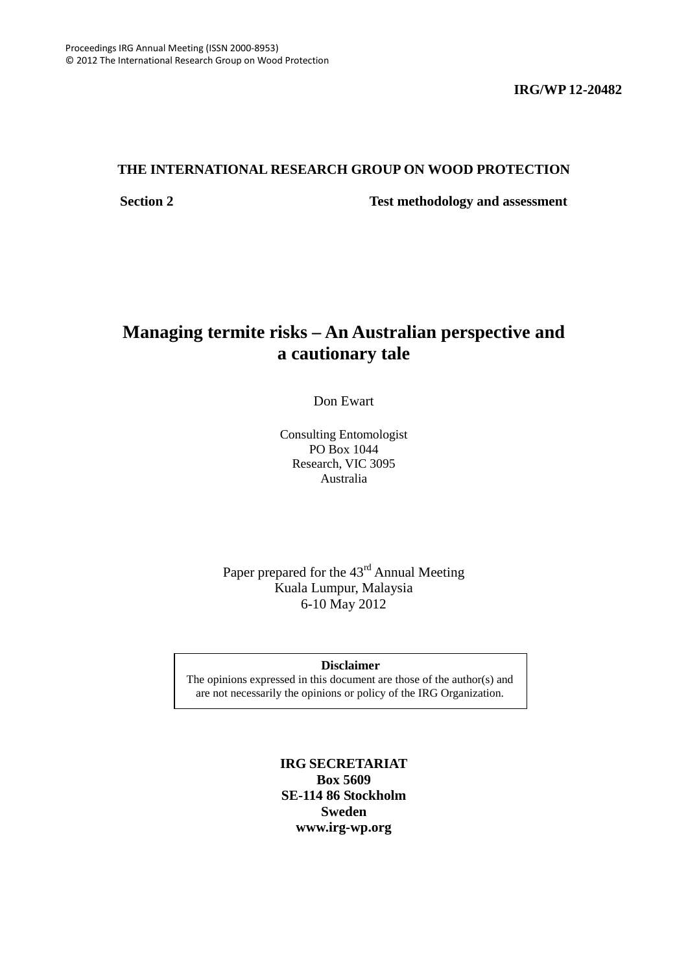**IRG/WP 12-20482**

# **THE INTERNATIONAL RESEARCH GROUP ON WOOD PROTECTION**

**Section 2 Test methodology and assessment**

# **Managing termite risks – An Australian perspective and a cautionary tale**

Don Ewart

Consulting Entomologist PO Box 1044 Research, VIC 3095 Australia

# Paper prepared for the 43rd Annual Meeting Kuala Lumpur, Malaysia 6-10 May 2012

# **Disclaimer**

<span id="page-0-0"></span>The opinions expressed in this document are those of the author(s) and are not necessarily the opinions or policy of the IRG Organization.

# **IRG SECRETARIAT Box 5609 SE-114 86 Stockholm Sweden www.irg-wp.org**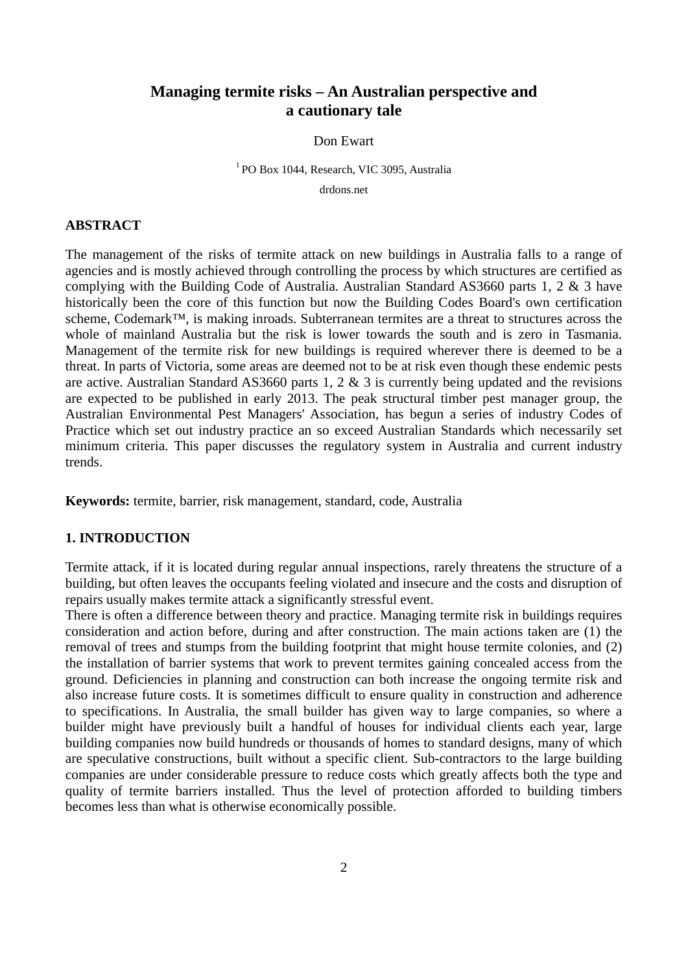# **Managing termite risks – An Australian perspective and a cautionary tale**

#### Don Ewart

### 1 PO Box 1044, Research, VIC 3095, Australia

drdons.net

# **ABSTRACT**

The management of the risks of termite attack on new buildings in Australia falls to a range of agencies and is mostly achieved through controlling the process by which structures are certified as complying with the Building Code of Australia. Australian Standard AS3660 parts 1, 2 & 3 have historically been the core of this function but now the Building Codes Board's own certification scheme, Codemark<sup>™</sup>, is making inroads. Subterranean termites are a threat to structures across the whole of mainland Australia but the risk is lower towards the south and is zero in Tasmania. Management of the termite risk for new buildings is required wherever there is deemed to be a threat. In parts of Victoria, some areas are deemed not to be at risk even though these endemic pests are active. Australian Standard AS3660 parts 1, 2 & 3 is currently being updated and the revisions are expected to be published in early 2013. The peak structural timber pest manager group, the Australian Environmental Pest Managers' Association, has begun a series of industry Codes of Practice which set out industry practice an so exceed Australian Standards which necessarily set minimum criteria. This paper discusses the regulatory system in Australia and current industry trends.

**Keywords:** termite, barrier, risk management, standard, code, Australia

# **1. INTRODUCTION**

Termite attack, if it is located during regular annual inspections, rarely threatens the structure of a building, but often leaves the occupants feeling violated and insecure and the costs and disruption of repairs usually makes termite attack a significantly stressful event.

There is often a difference between theory and practice. Managing termite risk in buildings requires consideration and action before, during and after construction. The main actions taken are (1) the removal of trees and stumps from the building footprint that might house termite colonies, and (2) the installation of barrier systems that work to prevent termites gaining concealed access from the ground. Deficiencies in planning and construction can both increase the ongoing termite risk and also increase future costs. It is sometimes difficult to ensure quality in construction and adherence to specifications. In Australia, the small builder has given way to large companies, so where a builder might have previously built a handful of houses for individual clients each year, large building companies now build hundreds or thousands of homes to standard designs, many of which are speculative constructions, built without a specific client. Sub-contractors to the large building companies are under considerable pressure to reduce costs which greatly affects both the type and quality of termite barriers installed. Thus the level of protection afforded to building timbers becomes less than what is otherwise economically possible.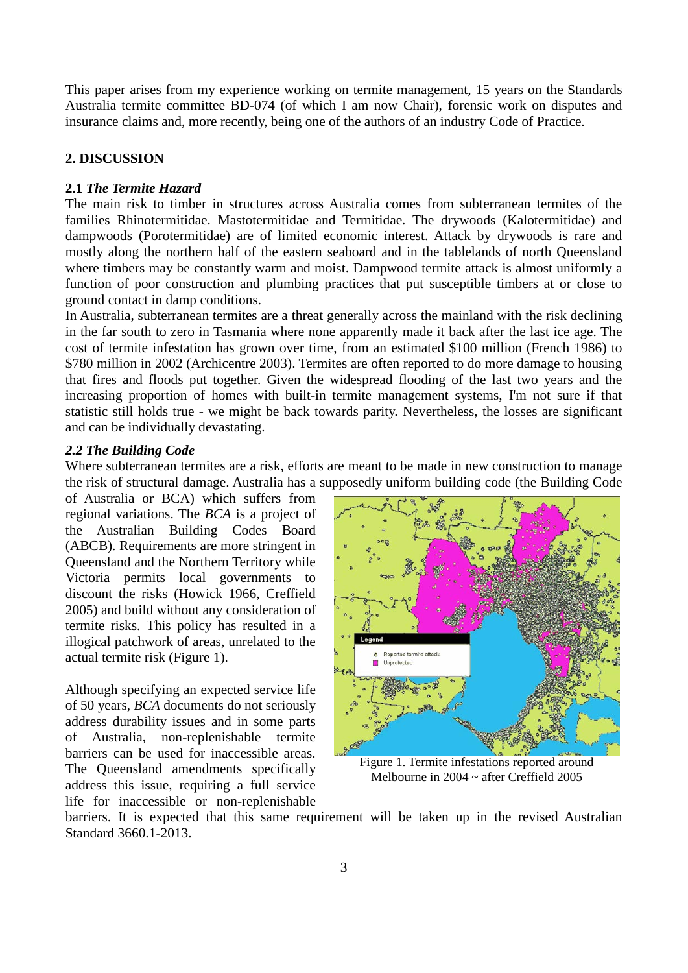This paper arises from my experience working on termite management, 15 years on the Standards Australia termite committee BD-074 (of which I am now Chair), forensic work on disputes and insurance claims and, more recently, being one of the authors of an industry Code of Practice.

# **2. DISCUSSION**

## **2.1** *The Termite Hazard*

The main risk to timber in structures across Australia comes from subterranean termites of the families Rhinotermitidae. Mastotermitidae and Termitidae. The drywoods (Kalotermitidae) and dampwoods (Porotermitidae) are of limited economic interest. Attack by drywoods is rare and mostly along the northern half of the eastern seaboard and in the tablelands of north Queensland where timbers may be constantly warm and moist. Dampwood termite attack is almost uniformly a function of poor construction and plumbing practices that put susceptible timbers at or close to ground contact in damp conditions.

In Australia, subterranean termites are a threat generally across the mainland with the risk declining in the far south to zero in Tasmania where none apparently made it back after the last ice age. The cost of termite infestation has grown over time, from an estimated \$100 million (French 1986) to \$780 million in 2002 (Archicentre 2003). Termites are often reported to do more damage to housing that fires and floods put together. Given the widespread flooding of the last two years and the increasing proportion of homes with built-in termite management systems, I'm not sure if that statistic still holds true - we might be back towards parity. Nevertheless, the losses are significant and can be individually devastating.

#### *2.2 The Building Code*

Where subterranean termites are a risk, efforts are meant to be made in new construction to manage the risk of structural damage. Australia has a supposedly uniform building code (the Building Code

of Australia or BCA) which suffers from regional variations. The *BCA* is a project of the Australian Building Codes Board (ABCB). Requirements are more stringent in Queensland and the Northern Territory while Victoria permits local governments to discount the risks (Howick 1966, Creffield 2005) and build without any consideration of termite risks. This policy has resulted in a illogical patchwork of areas, unrelated to the actual termite risk (Figure 1).

Although specifying an expected service life of 50 years, *BCA* documents do not seriously address durability issues and in some parts of Australia, non-replenishable termite barriers can be used for inaccessible areas. The Queensland amendments specifically address this issue, requiring a full service life for inaccessible or non-replenishable



Figure 1. Termite infestations reported around Melbourne in 2004 ~ after Creffield 2005

barriers. It is expected that this same requirement will be taken up in the revised Australian Standard 3660.1-2013.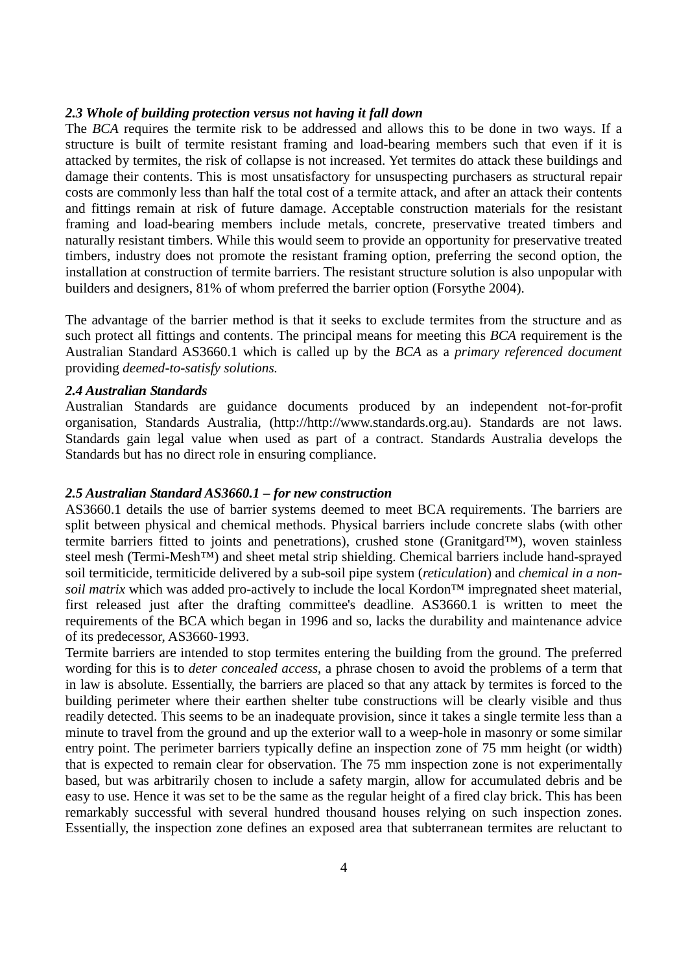#### *2.3 Whole of building protection versus not having it fall down*

The *BCA* requires the termite risk to be addressed and allows this to be done in two ways. If a structure is built of termite resistant framing and load-bearing members such that even if it is attacked by termites, the risk of collapse is not increased. Yet termites do attack these buildings and damage their contents. This is most unsatisfactory for unsuspecting purchasers as structural repair costs are commonly less than half the total cost of a termite attack, and after an attack their contents and fittings remain at risk of future damage. Acceptable construction materials for the resistant framing and load-bearing members include metals, concrete, preservative treated timbers and naturally resistant timbers. While this would seem to provide an opportunity for preservative treated timbers, industry does not promote the resistant framing option, preferring the second option, the installation at construction of termite barriers. The resistant structure solution is also unpopular with builders and designers, 81% of whom preferred the barrier option (Forsythe 2004).

The advantage of the barrier method is that it seeks to exclude termites from the structure and as such protect all fittings and contents. The principal means for meeting this *BCA* requirement is the Australian Standard AS3660.1 which is called up by the *BCA* as a *primary referenced document* providing *deemed-to-satisfy solutions.*

### *2.4 Australian Standards*

Australian Standards are guidance documents produced by an independent not-for-profit organisation, Standards Australia, (http://http://www.standards.org.au). Standards are not laws. Standards gain legal value when used as part of a contract. Standards Australia develops the Standards but has no direct role in ensuring compliance.

#### *2.5 Australian Standard AS3660.1 – for new construction*

AS3660.1 details the use of barrier systems deemed to meet BCA requirements. The barriers are split between physical and chemical methods. Physical barriers include concrete slabs (with other termite barriers fitted to joints and penetrations), crushed stone (Granitgard™), woven stainless steel mesh (Termi-Mesh™) and sheet metal strip shielding. Chemical barriers include hand-sprayed soil termiticide, termiticide delivered by a sub-soil pipe system (*reticulation*) and *chemical in a nonsoil matrix* which was added pro-actively to include the local Kordon<sup>™</sup> impregnated sheet material, first released just after the drafting committee's deadline. AS3660.1 is written to meet the requirements of the BCA which began in 1996 and so, lacks the durability and maintenance advice of its predecessor, AS3660-1993.

Termite barriers are intended to stop termites entering the building from the ground. The preferred wording for this is to *deter concealed access*, a phrase chosen to avoid the problems of a term that in law is absolute. Essentially, the barriers are placed so that any attack by termites is forced to the building perimeter where their earthen shelter tube constructions will be clearly visible and thus readily detected. This seems to be an inadequate provision, since it takes a single termite less than a minute to travel from the ground and up the exterior wall to a weep-hole in masonry or some similar entry point. The perimeter barriers typically define an inspection zone of 75 mm height (or width) that is expected to remain clear for observation. The 75 mm inspection zone is not experimentally based, but was arbitrarily chosen to include a safety margin, allow for accumulated debris and be easy to use. Hence it was set to be the same as the regular height of a fired clay brick. This has been remarkably successful with several hundred thousand houses relying on such inspection zones. Essentially, the inspection zone defines an exposed area that subterranean termites are reluctant to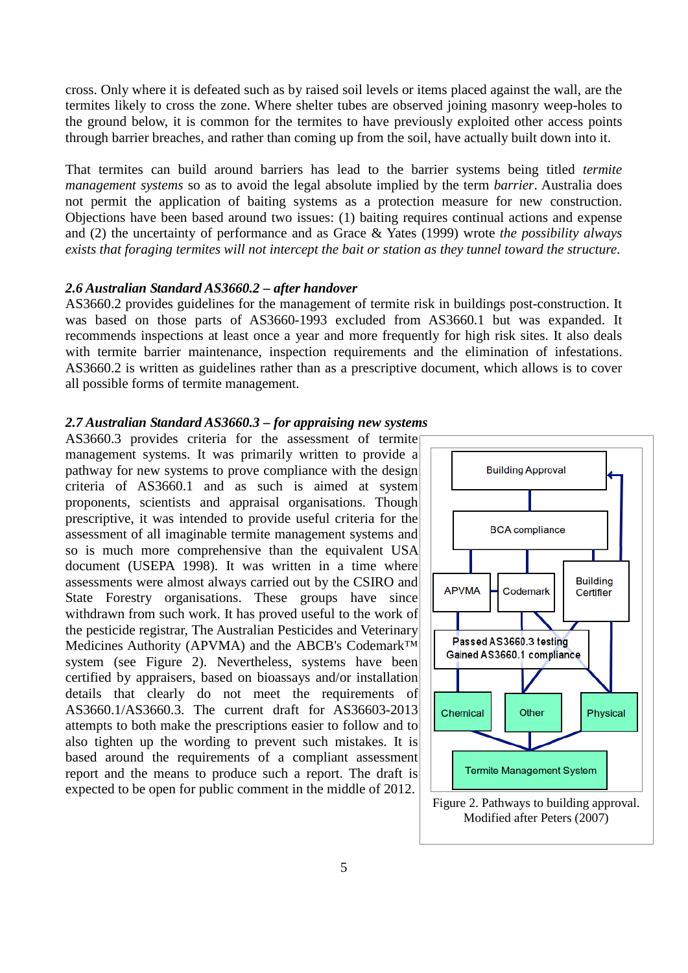cross. Only where it is defeated such as by raised soil levels or items placed against the wall, are the termites likely to cross the zone. Where shelter tubes are observed joining masonry weep-holes to the ground below, it is common for the termites to have previously exploited other access points through barrier breaches, and rather than coming up from the soil, have actually built down into it.

That termites can build around barriers has lead to the barrier systems being titled *termite management systems* so as to avoid the legal absolute implied by the term *barrier*. Australia does not permit the application of baiting systems as a protection measure for new construction. Objections have been based around two issues: (1) baiting requires continual actions and expense and (2) the uncertainty of performance and as Grace & Yates (1999) wrote *the possibility always exists that foraging termites will not intercept the bait or station as they tunnel toward the structure*.

#### *2.6 Australian Standard AS3660.2 – after handover*

AS3660.2 provides guidelines for the management of termite risk in buildings post-construction. It was based on those parts of AS3660-1993 excluded from AS3660.1 but was expanded. It recommends inspections at least once a year and more frequently for high risk sites. It also deals with termite barrier maintenance, inspection requirements and the elimination of infestations. AS3660.2 is written as guidelines rather than as a prescriptive document, which allows is to cover all possible forms of termite management.

#### *2.7 Australian Standard AS3660.3 – for appraising new systems*

AS3660.3 provides criteria for the assessment of termite management systems. It was primarily written to provide a pathway for new systems to prove compliance with the design criteria of AS3660.1 and as such is aimed at system proponents, scientists and appraisal organisations. Though prescriptive, it was intended to provide useful criteria for the assessment of all imaginable termite management systems and so is much more comprehensive than the equivalent USA document (USEPA 1998). It was written in a time where assessments were almost always carried out by the CSIRO and State Forestry organisations. These groups have since withdrawn from such work. It has proved useful to the work of the pesticide registrar, The Australian Pesticides and Veterinary Medicines Authority (APVMA) and the ABCB's Codemark™ system (see Figure 2). Nevertheless, systems have been certified by appraisers, based on bioassays and/or installation details that clearly do not meet the requirements of AS3660.1/AS3660.3. The current draft for AS36603-2013 attempts to both make the prescriptions easier to follow and to also tighten up the wording to prevent such mistakes. It is based around the requirements of a compliant assessment report and the means to produce such a report. The draft is expected to be open for public comment in the middle of 2012.

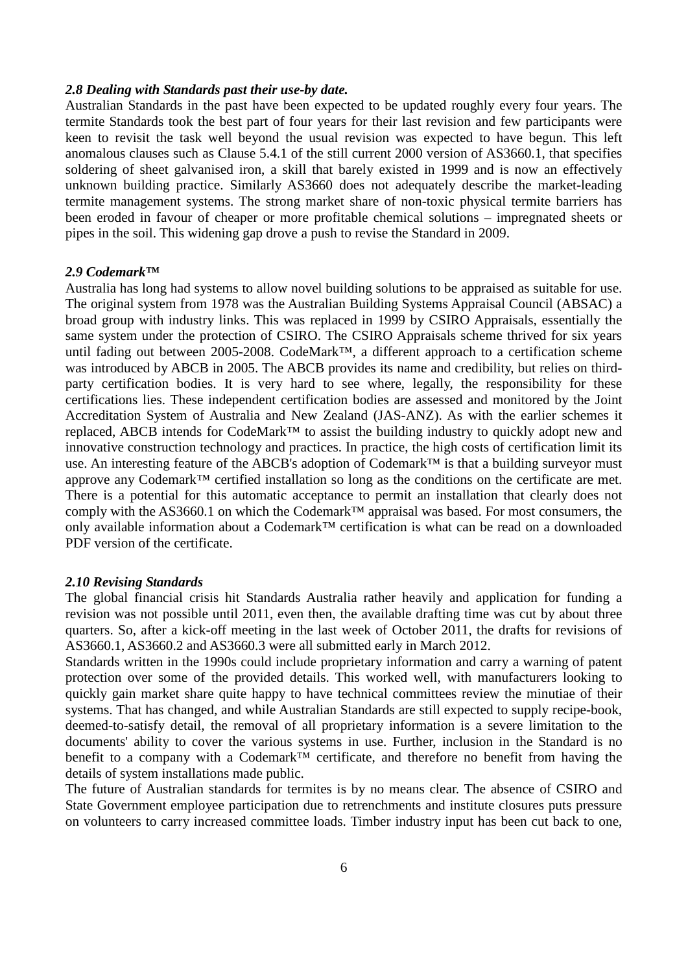## *2.8 Dealing with Standards past their use-by date.*

Australian Standards in the past have been expected to be updated roughly every four years. The termite Standards took the best part of four years for their last revision and few participants were keen to revisit the task well beyond the usual revision was expected to have begun. This left anomalous clauses such as Clause 5.4.1 of the still current 2000 version of AS3660.1, that specifies soldering of sheet galvanised iron, a skill that barely existed in 1999 and is now an effectively unknown building practice. Similarly AS3660 does not adequately describe the market-leading termite management systems. The strong market share of non-toxic physical termite barriers has been eroded in favour of cheaper or more profitable chemical solutions – impregnated sheets or pipes in the soil. This widening gap drove a push to revise the Standard in 2009.

### *2.9 Codemark™*

Australia has long had systems to allow novel building solutions to be appraised as suitable for use. The original system from 1978 was the Australian Building Systems Appraisal Council (ABSAC) a broad group with industry links. This was replaced in 1999 by CSIRO Appraisals, essentially the same system under the protection of CSIRO. The CSIRO Appraisals scheme thrived for six years until fading out between 2005-2008. CodeMark™, a different approach to a certification scheme was introduced by ABCB in 2005. The ABCB provides its name and credibility, but relies on thirdparty certification bodies. It is very hard to see where, legally, the responsibility for these certifications lies. These independent certification bodies are assessed and monitored by the Joint Accreditation System of Australia and New Zealand (JAS-ANZ). As with the earlier schemes it replaced, ABCB intends for CodeMark™ to assist the building industry to quickly adopt new and innovative construction technology and practices. In practice, the high costs of certification limit its use. An interesting feature of the ABCB's adoption of Codemark™ is that a building surveyor must approve any Codemark™ certified installation so long as the conditions on the certificate are met. There is a potential for this automatic acceptance to permit an installation that clearly does not comply with the AS3660.1 on which the Codemark™ appraisal was based. For most consumers, the only available information about a Codemark™ certification is what can be read on a downloaded PDF version of the certificate.

#### *2.10 Revising Standards*

The global financial crisis hit Standards Australia rather heavily and application for funding a revision was not possible until 2011, even then, the available drafting time was cut by about three quarters. So, after a kick-off meeting in the last week of October 2011, the drafts for revisions of AS3660.1, AS3660.2 and AS3660.3 were all submitted early in March 2012.

Standards written in the 1990s could include proprietary information and carry a warning of patent protection over some of the provided details. This worked well, with manufacturers looking to quickly gain market share quite happy to have technical committees review the minutiae of their systems. That has changed, and while Australian Standards are still expected to supply recipe-book, deemed-to-satisfy detail, the removal of all proprietary information is a severe limitation to the documents' ability to cover the various systems in use. Further, inclusion in the Standard is no benefit to a company with a Codemark<sup>™</sup> certificate, and therefore no benefit from having the details of system installations made public.

The future of Australian standards for termites is by no means clear. The absence of CSIRO and State Government employee participation due to retrenchments and institute closures puts pressure on volunteers to carry increased committee loads. Timber industry input has been cut back to one,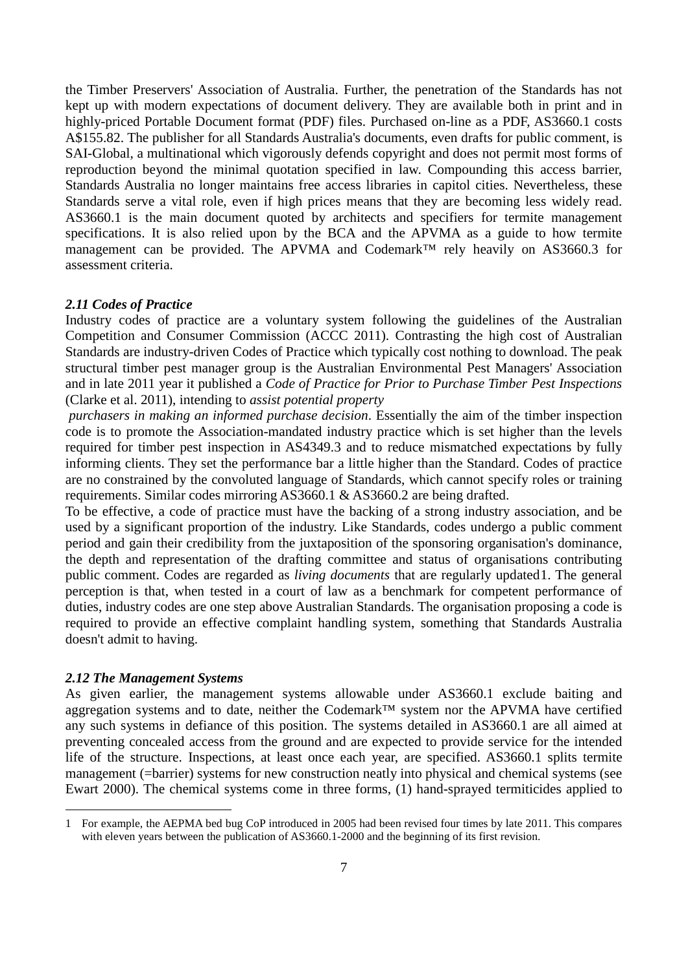the Timber Preservers' Association of Australia. Further, the penetration of the Standards has not kept up with modern expectations of document delivery. They are available both in print and in highly-priced Portable Document format (PDF) files. Purchased on-line as a PDF, AS3660.1 costs A\$155.82. The publisher for all Standards Australia's documents, even drafts for public comment, is SAI-Global, a multinational which vigorously defends copyright and does not permit most forms of reproduction beyond the minimal quotation specified in law. Compounding this access barrier, Standards Australia no longer maintains free access libraries in capitol cities. Nevertheless, these Standards serve a vital role, even if high prices means that they are becoming less widely read. AS3660.1 is the main document quoted by architects and specifiers for termite management specifications. It is also relied upon by the BCA and the APVMA as a guide to how termite management can be provided. The APVMA and Codemark™ rely heavily on AS3660.3 for assessment criteria.

#### *2.11 Codes of Practice*

Industry codes of practice are a voluntary system following the guidelines of the Australian Competition and Consumer Commission (ACCC 2011). Contrasting the high cost of Australian Standards are industry-driven Codes of Practice which typically cost nothing to download. The peak structural timber pest manager group is the Australian Environmental Pest Managers' Association and in late 2011 year it published a *Code of Practice for Prior to Purchase Timber Pest Inspections* (Clarke et al. 2011), intending to *assist potential property*

*purchasers in making an informed purchase decision*. Essentially the aim of the timber inspection code is to promote the Association-mandated industry practice which is set higher than the levels required for timber pest inspection in AS4349.3 and to reduce mismatched expectations by fully informing clients. They set the performance bar a little higher than the Standard. Codes of practice are no constrained by the convoluted language of Standards, which cannot specify roles or training requirements. Similar codes mirroring AS3660.1 & AS3660.2 are being drafted.

To be effective, a code of practice must have the backing of a strong industry association, and be used by a significant proportion of the industry. Like Standards, codes undergo a public comment period and gain their credibility from the juxtaposition of the sponsoring organisation's dominance, the depth and representation of the drafting committee and status of organisations contributing public comment. Codes are regarded as *living documents* that are regularly updated[1.](#page-0-0) The general perception is that, when tested in a court of law as a benchmark for competent performance of duties, industry codes are one step above Australian Standards. The organisation proposing a code is required to provide an effective complaint handling system, something that Standards Australia doesn't admit to having.

#### *2.12 The Management Systems*

As given earlier, the management systems allowable under AS3660.1 exclude baiting and aggregation systems and to date, neither the Codemark™ system nor the APVMA have certified any such systems in defiance of this position. The systems detailed in AS3660.1 are all aimed at preventing concealed access from the ground and are expected to provide service for the intended life of the structure. Inspections, at least once each year, are specified. AS3660.1 splits termite management (=barrier) systems for new construction neatly into physical and chemical systems (see Ewart 2000). The chemical systems come in three forms, (1) hand-sprayed termiticides applied to

 <sup>1</sup> For example, the AEPMA bed bug CoP introduced in 2005 had been revised four times by late 2011. This compares with eleven years between the publication of AS3660.1-2000 and the beginning of its first revision.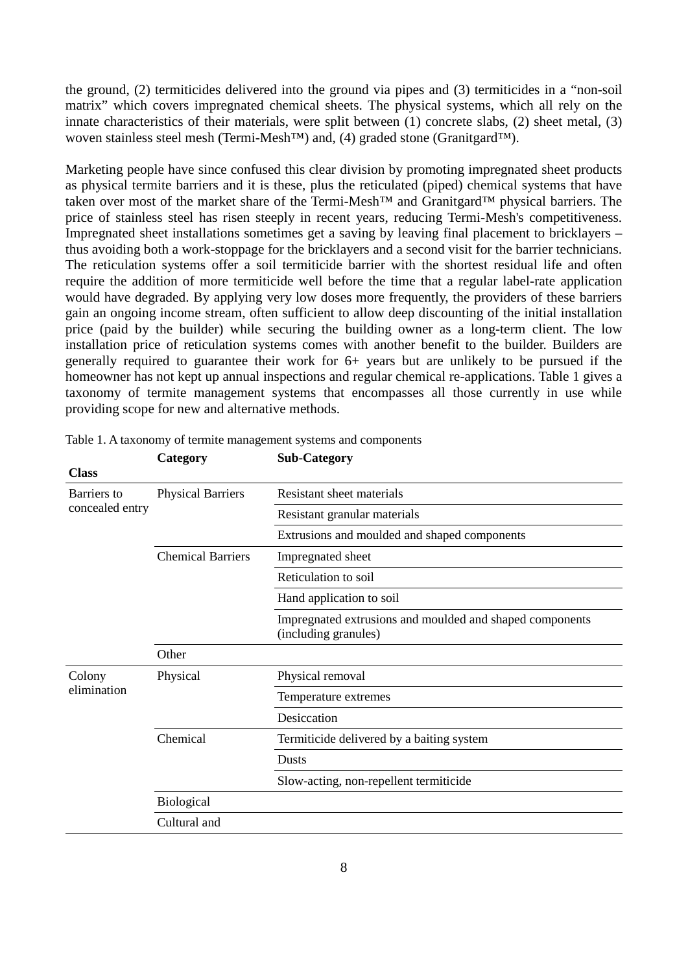the ground, (2) termiticides delivered into the ground via pipes and (3) termiticides in a "non-soil matrix" which covers impregnated chemical sheets. The physical systems, which all rely on the innate characteristics of their materials, were split between (1) concrete slabs, (2) sheet metal, (3) woven stainless steel mesh (Termi-Mesh™) and, (4) graded stone (Granitgard™).

Marketing people have since confused this clear division by promoting impregnated sheet products as physical termite barriers and it is these, plus the reticulated (piped) chemical systems that have taken over most of the market share of the Termi-Mesh™ and Granitgard™ physical barriers. The price of stainless steel has risen steeply in recent years, reducing Termi-Mesh's competitiveness. Impregnated sheet installations sometimes get a saving by leaving final placement to bricklayers – thus avoiding both a work-stoppage for the bricklayers and a second visit for the barrier technicians. The reticulation systems offer a soil termiticide barrier with the shortest residual life and often require the addition of more termiticide well before the time that a regular label-rate application would have degraded. By applying very low doses more frequently, the providers of these barriers gain an ongoing income stream, often sufficient to allow deep discounting of the initial installation price (paid by the builder) while securing the building owner as a long-term client. The low installation price of reticulation systems comes with another benefit to the builder. Builders are generally required to guarantee their work for 6+ years but are unlikely to be pursued if the homeowner has not kept up annual inspections and regular chemical re-applications. Table 1 gives a taxonomy of termite management systems that encompasses all those currently in use while providing scope for new and alternative methods.

| <b>Class</b>                   |                          |                                                                                  |
|--------------------------------|--------------------------|----------------------------------------------------------------------------------|
| Barriers to<br>concealed entry | <b>Physical Barriers</b> | Resistant sheet materials                                                        |
|                                |                          | Resistant granular materials                                                     |
|                                |                          | Extrusions and moulded and shaped components                                     |
|                                | <b>Chemical Barriers</b> | Impregnated sheet                                                                |
|                                |                          | Reticulation to soil                                                             |
|                                |                          | Hand application to soil                                                         |
|                                |                          | Impregnated extrusions and moulded and shaped components<br>(including granules) |
|                                | Other                    |                                                                                  |
| Colony<br>elimination          | Physical                 | Physical removal                                                                 |
|                                |                          | Temperature extremes                                                             |
|                                |                          | Desiccation                                                                      |
|                                | Chemical                 | Termiticide delivered by a baiting system                                        |
|                                |                          | <b>Dusts</b>                                                                     |
|                                |                          | Slow-acting, non-repellent termiticide                                           |
|                                | <b>Biological</b>        |                                                                                  |
|                                | Cultural and             |                                                                                  |

Table 1. A taxonomy of termite management systems and components

**Category Sub-Category**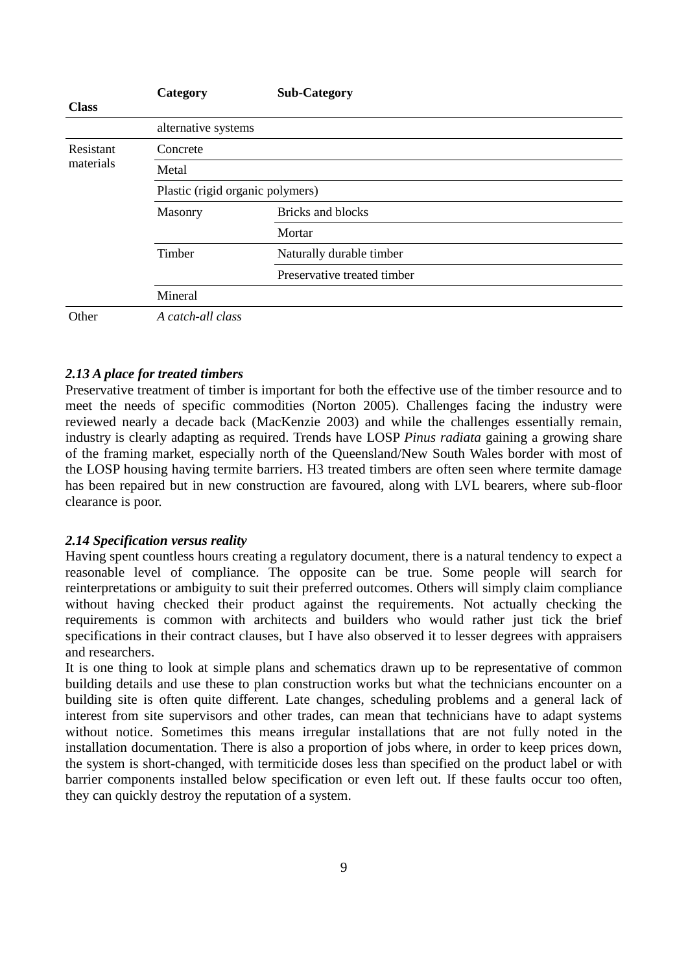|                        | Category                         | <b>Sub-Category</b>         |  |
|------------------------|----------------------------------|-----------------------------|--|
| <b>Class</b>           |                                  |                             |  |
|                        | alternative systems              |                             |  |
| Resistant<br>materials | Concrete                         |                             |  |
|                        | Metal                            |                             |  |
|                        | Plastic (rigid organic polymers) |                             |  |
|                        | Masonry                          | <b>Bricks and blocks</b>    |  |
|                        |                                  | Mortar                      |  |
|                        | Timber                           | Naturally durable timber    |  |
|                        |                                  | Preservative treated timber |  |
|                        | Mineral                          |                             |  |
| Other                  | A catch-all class                |                             |  |

# *2.13 A place for treated timbers*

Preservative treatment of timber is important for both the effective use of the timber resource and to meet the needs of specific commodities (Norton 2005). Challenges facing the industry were reviewed nearly a decade back (MacKenzie 2003) and while the challenges essentially remain, industry is clearly adapting as required. Trends have LOSP *Pinus radiata* gaining a growing share of the framing market, especially north of the Queensland/New South Wales border with most of the LOSP housing having termite barriers. H3 treated timbers are often seen where termite damage has been repaired but in new construction are favoured, along with LVL bearers, where sub-floor clearance is poor.

# *2.14 Specification versus reality*

Having spent countless hours creating a regulatory document, there is a natural tendency to expect a reasonable level of compliance. The opposite can be true. Some people will search for reinterpretations or ambiguity to suit their preferred outcomes. Others will simply claim compliance without having checked their product against the requirements. Not actually checking the requirements is common with architects and builders who would rather just tick the brief specifications in their contract clauses, but I have also observed it to lesser degrees with appraisers and researchers.

It is one thing to look at simple plans and schematics drawn up to be representative of common building details and use these to plan construction works but what the technicians encounter on a building site is often quite different. Late changes, scheduling problems and a general lack of interest from site supervisors and other trades, can mean that technicians have to adapt systems without notice. Sometimes this means irregular installations that are not fully noted in the installation documentation. There is also a proportion of jobs where, in order to keep prices down, the system is short-changed, with termiticide doses less than specified on the product label or with barrier components installed below specification or even left out. If these faults occur too often, they can quickly destroy the reputation of a system.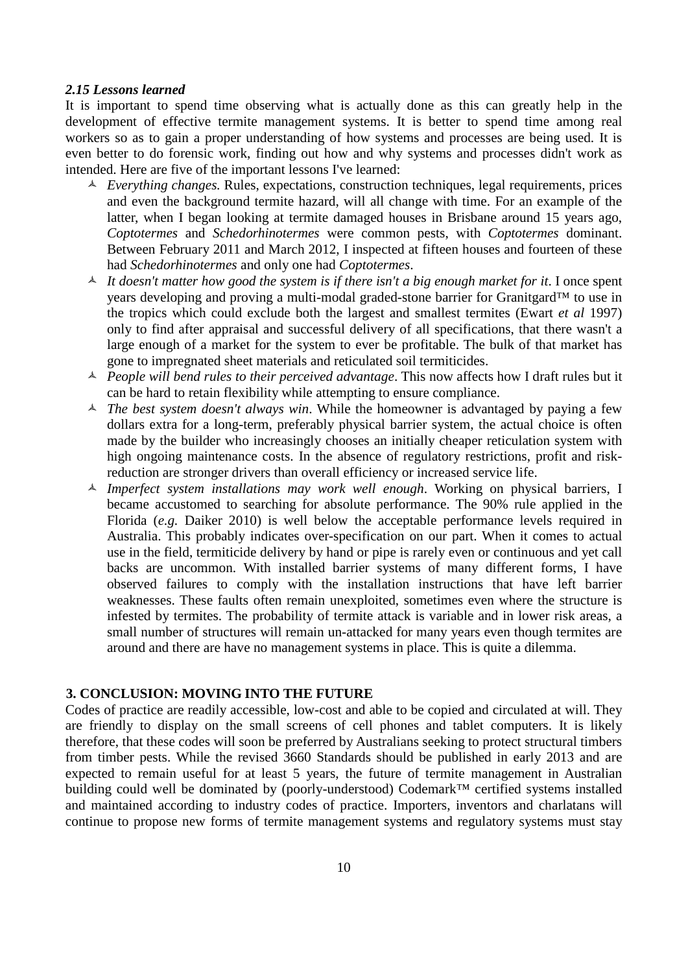#### *2.15 Lessons learned*

It is important to spend time observing what is actually done as this can greatly help in the development of effective termite management systems. It is better to spend time among real workers so as to gain a proper understanding of how systems and processes are being used. It is even better to do forensic work, finding out how and why systems and processes didn't work as intended. Here are five of the important lessons I've learned:

- *Everything changes.* Rules, expectations, construction techniques, legal requirements, prices and even the background termite hazard, will all change with time. For an example of the latter, when I began looking at termite damaged houses in Brisbane around 15 years ago, *Coptotermes* and *Schedorhinotermes* were common pests, with *Coptotermes* dominant. Between February 2011 and March 2012, I inspected at fifteen houses and fourteen of these had *Schedorhinotermes* and only one had *Coptotermes*.
- $\uparrow$  *It doesn't matter how good the system is if there isn't a big enough market for it.* I once spent years developing and proving a multi-modal graded-stone barrier for Granitgard™ to use in the tropics which could exclude both the largest and smallest termites (Ewart *et al* 1997) only to find after appraisal and successful delivery of all specifications, that there wasn't a large enough of a market for the system to ever be profitable. The bulk of that market has gone to impregnated sheet materials and reticulated soil termiticides.
- *People will bend rules to their perceived advantage*. This now affects how I draft rules but it can be hard to retain flexibility while attempting to ensure compliance.
- *The best system doesn't always win*. While the homeowner is advantaged by paying a few dollars extra for a long-term, preferably physical barrier system, the actual choice is often made by the builder who increasingly chooses an initially cheaper reticulation system with high ongoing maintenance costs. In the absence of regulatory restrictions, profit and riskreduction are stronger drivers than overall efficiency or increased service life.
- *Imperfect system installations may work well enough*. Working on physical barriers, I became accustomed to searching for absolute performance. The 90% rule applied in the Florida (*e.g.* Daiker 2010) is well below the acceptable performance levels required in Australia. This probably indicates over-specification on our part. When it comes to actual use in the field, termiticide delivery by hand or pipe is rarely even or continuous and yet call backs are uncommon. With installed barrier systems of many different forms, I have observed failures to comply with the installation instructions that have left barrier weaknesses. These faults often remain unexploited, sometimes even where the structure is infested by termites. The probability of termite attack is variable and in lower risk areas, a small number of structures will remain un-attacked for many years even though termites are around and there are have no management systems in place. This is quite a dilemma.

## **3. CONCLUSION: MOVING INTO THE FUTURE**

Codes of practice are readily accessible, low-cost and able to be copied and circulated at will. They are friendly to display on the small screens of cell phones and tablet computers. It is likely therefore, that these codes will soon be preferred by Australians seeking to protect structural timbers from timber pests. While the revised 3660 Standards should be published in early 2013 and are expected to remain useful for at least 5 years, the future of termite management in Australian building could well be dominated by (poorly-understood) Codemark™ certified systems installed and maintained according to industry codes of practice. Importers, inventors and charlatans will continue to propose new forms of termite management systems and regulatory systems must stay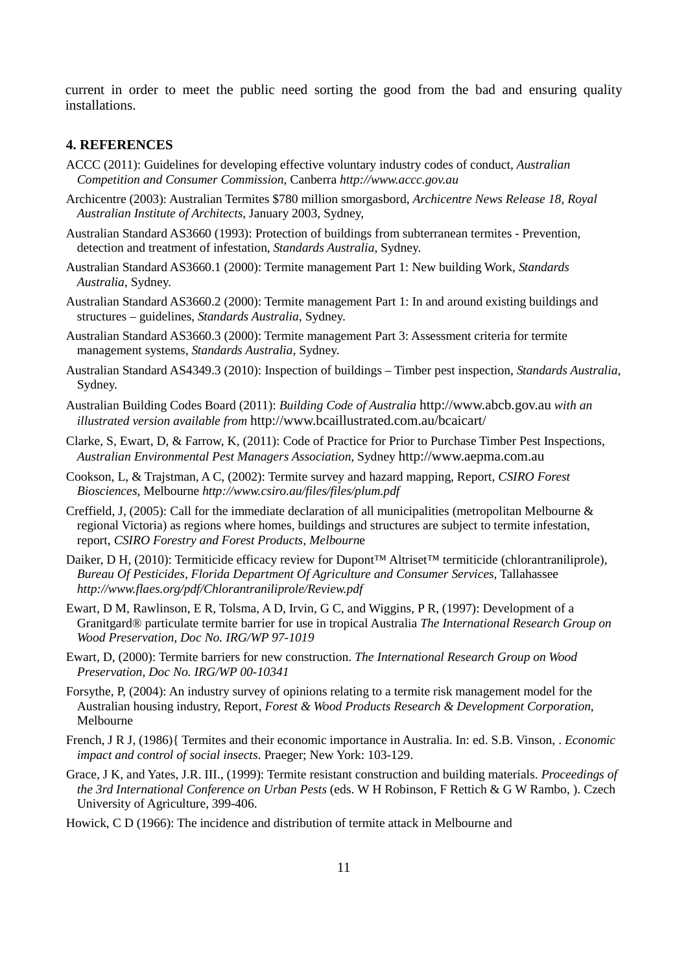current in order to meet the public need sorting the good from the bad and ensuring quality installations.

### **4. REFERENCES**

- ACCC (2011): Guidelines for developing effective voluntary industry codes of conduct*, Australian Competition and Consumer Commission*, Canberra *http://www.accc.gov.au*
- Archicentre (2003): Australian Termites \$780 million smorgasbord, *Archicentre News Release 18, Royal Australian Institute of Architects*, January 2003, Sydney,
- Australian Standard AS3660 (1993): Protection of buildings from subterranean termites Prevention, detection and treatment of infestation, *Standards Australia*, Sydney.
- Australian Standard AS3660.1 (2000): Termite management Part 1: New building Work, *Standards Australia*, Sydney.
- Australian Standard AS3660.2 (2000): Termite management Part 1: In and around existing buildings and structures – guidelines, *Standards Australia*, Sydney.
- Australian Standard AS3660.3 (2000): Termite management Part 3: Assessment criteria for termite management systems, *Standards Australia*, Sydney.
- Australian Standard AS4349.3 (2010): Inspection of buildings Timber pest inspection, *Standards Australia*, Sydney.
- Australian Building Codes Board (2011): *Building Code of Australia* http://www.abcb.gov.au *with an illustrated version available from* http://www.bcaillustrated.com.au/bcaicart/
- Clarke, S, Ewart, D, & Farrow, K, (2011): Code of Practice for Prior to Purchase Timber Pest Inspections, *Australian Environmental Pest Managers Association,* Sydney http://www.aepma.com.au
- Cookson, L, & Trajstman, A C, (2002): Termite survey and hazard mapping, Report, *CSIRO Forest Biosciences,* Melbourne *http://www.csiro.au/files/files/plum.pdf*
- Creffield, J, (2005): Call for the immediate declaration of all municipalities (metropolitan Melbourne & regional Victoria) as regions where homes, buildings and structures are subject to termite infestation, report, *CSIRO Forestry and Forest Products, Melbourn*e
- Daiker, D H, (2010): Termiticide efficacy review for Dupont™ Altriset™ termiticide (chlorantraniliprole), *Bureau Of Pesticides, Florida Department Of Agriculture and Consumer Services,* Tallahassee *http://www.flaes.org/pdf/Chlorantraniliprole/Review.pdf*
- Ewart, D M, Rawlinson, E R, Tolsma, A D, Irvin, G C, and Wiggins, P R, (1997): Development of a Granitgard® particulate termite barrier for use in tropical Australia *The International Research Group on Wood Preservation*, *Doc No. IRG/WP 97-1019*
- Ewart, D, (2000): Termite barriers for new construction. *The International Research Group on Wood Preservation*, *Doc No. IRG/WP 00-10341*
- Forsythe, P, (2004): An industry survey of opinions relating to a termite risk management model for the Australian housing industry, Report, *Forest & Wood Products Research & Development Corporation*, Melbourne
- French, J R J, (1986){ Termites and their economic importance in Australia. In: ed. S.B. Vinson, . *Economic impact and control of social insects*. Praeger; New York: 103-129.
- Grace, J K, and Yates, J.R. III., (1999): Termite resistant construction and building materials. *Proceedings of the 3rd International Conference on Urban Pests* (eds. W H Robinson, F Rettich & G W Rambo, ). Czech University of Agriculture, 399-406.
- Howick, C D (1966): The incidence and distribution of termite attack in Melbourne and